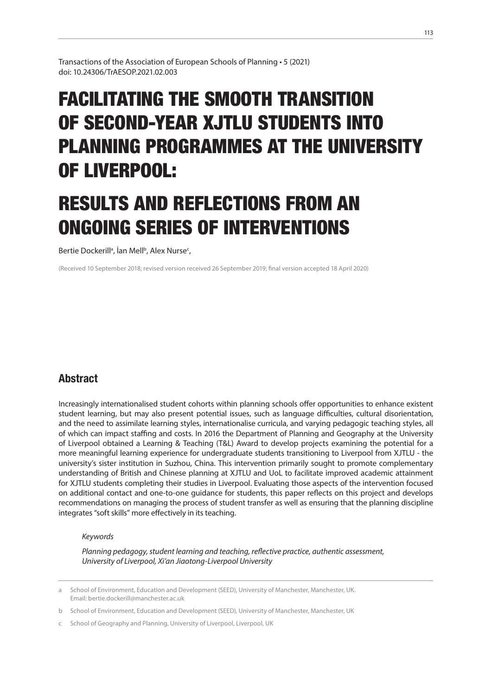Transactions of the Association of European Schools of Planning • 5 (2021) doi: 10.24306/TrAESOP.2021.02.003

# FACILITATING THE SMOOTH TRANSITION OF SECOND-YEAR XJTLU STUDENTS INTO PLANNING PROGRAMMES AT THE UNIVERSITY OF LIVERPOOL:

# RESULTS AND REFLECTIONS FROM AN ONGOING SERIES OF INTERVENTIONS

Bertie Dockerill<sup>a</sup>, İan Mell<sup>b</sup>, Alex Nurse<sup>c</sup>,

(Received 10 September 2018; revised version received 26 September 2019; final version accepted 18 April 2020)

## **Abstract**

Increasingly internationalised student cohorts within planning schools offer opportunities to enhance existent student learning, but may also present potential issues, such as language difficulties, cultural disorientation, and the need to assimilate learning styles, internationalise curricula, and varying pedagogic teaching styles, all of which can impact staffing and costs. In 2016 the Department of Planning and Geography at the University of Liverpool obtained a Learning & Teaching (T&L) Award to develop projects examining the potential for a more meaningful learning experience for undergraduate students transitioning to Liverpool from XJTLU - the university's sister institution in Suzhou, China. This intervention primarily sought to promote complementary understanding of British and Chinese planning at XJTLU and UoL to facilitate improved academic attainment for XJTLU students completing their studies in Liverpool. Evaluating those aspects of the intervention focused on additional contact and one-to-one guidance for students, this paper reflects on this project and develops recommendations on managing the process of student transfer as well as ensuring that the planning discipline integrates "soft skills" more effectively in its teaching.

#### *Keywords*

*Planning pedagogy, student learning and teaching, reflective practice, authentic assessment, University of Liverpool, Xi'an Jiaotong-Liverpool University*

a School of Environment, Education and Development (SEED), University of Manchester, Manchester, UK. Email: bertie.dockerill@manchester.ac.uk

b School of Environment, Education and Development (SEED), University of Manchester, Manchester, UK

School of Geography and Planning, University of Liverpool, Liverpool, UK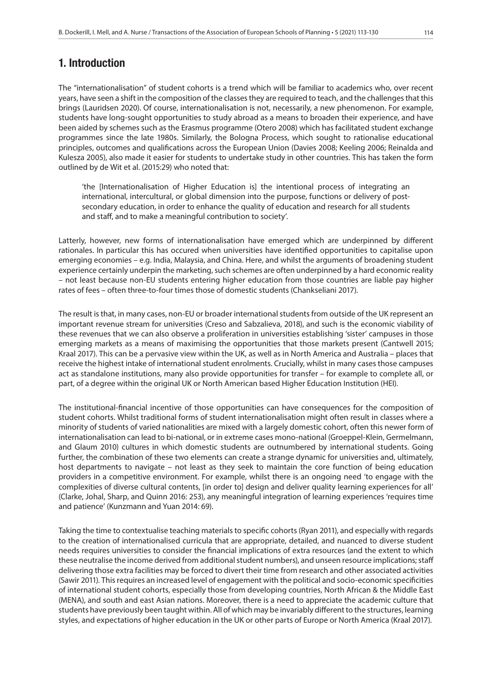## 1. Introduction

The "internationalisation" of student cohorts is a trend which will be familiar to academics who, over recent years, have seen a shift in the composition of the classes they are required to teach, and the challenges that this brings (Lauridsen 2020). Of course, internationalisation is not, necessarily, a new phenomenon. For example, students have long-sought opportunities to study abroad as a means to broaden their experience, and have been aided by schemes such as the Erasmus programme (Otero 2008) which has facilitated student exchange programmes since the late 1980s. Similarly, the Bologna Process, which sought to rationalise educational principles, outcomes and qualifications across the European Union (Davies 2008; Keeling 2006; Reinalda and Kulesza 2005), also made it easier for students to undertake study in other countries. This has taken the form outlined by de Wit et al. (2015:29) who noted that:

'the [Internationalisation of Higher Education is] the intentional process of integrating an international, intercultural, or global dimension into the purpose, functions or delivery of postsecondary education, in order to enhance the quality of education and research for all students and staff, and to make a meaningful contribution to society'.

Latterly, however, new forms of internationalisation have emerged which are underpinned by different rationales. In particular this has occured when universities have identified opportunities to capitalise upon emerging economies – e.g. India, Malaysia, and China. Here, and whilst the arguments of broadening student experience certainly underpin the marketing, such schemes are often underpinned by a hard economic reality – not least because non-EU students entering higher education from those countries are liable pay higher rates of fees – often three-to-four times those of domestic students (Chankseliani 2017).

The result is that, in many cases, non-EU or broader international students from outside of the UK represent an important revenue stream for universities (Creso and Sabzalieva, 2018), and such is the economic viability of these revenues that we can also observe a proliferation in universities establishing 'sister' campuses in those emerging markets as a means of maximising the opportunities that those markets present (Cantwell 2015; Kraal 2017). This can be a pervasive view within the UK, as well as in North America and Australia – places that receive the highest intake of international student enrolments. Crucially, whilst in many cases those campuses act as standalone institutions, many also provide opportunities for transfer – for example to complete all, or part, of a degree within the original UK or North American based Higher Education Institution (HEI).

The institutional-financial incentive of those opportunities can have consequences for the composition of student cohorts. Whilst traditional forms of student internationalisation might often result in classes where a minority of students of varied nationalities are mixed with a largely domestic cohort, often this newer form of internationalisation can lead to bi-national, or in extreme cases mono-national (Groeppel-Klein, Germelmann, and Glaum 2010) cultures in which domestic students are outnumbered by international students. Going further, the combination of these two elements can create a strange dynamic for universities and, ultimately, host departments to navigate – not least as they seek to maintain the core function of being education providers in a competitive environment. For example, whilst there is an ongoing need 'to engage with the complexities of diverse cultural contents, [in order to] design and deliver quality learning experiences for all' (Clarke, Johal, Sharp, and Quinn 2016: 253), any meaningful integration of learning experiences 'requires time and patience' (Kunzmann and Yuan 2014: 69).

Taking the time to contextualise teaching materials to specific cohorts (Ryan 2011), and especially with regards to the creation of internationalised curricula that are appropriate, detailed, and nuanced to diverse student needs requires universities to consider the financial implications of extra resources (and the extent to which these neutralise the income derived from additional student numbers), and unseen resource implications; staff delivering those extra facilities may be forced to divert their time from research and other associated activities (Sawir 2011). This requires an increased level of engagement with the political and socio-economic specificities of international student cohorts, especially those from developing countries, North African & the Middle East (MENA), and south and east Asian nations. Moreover, there is a need to appreciate the academic culture that students have previously been taught within. All of which may be invariably different to the structures, learning styles, and expectations of higher education in the UK or other parts of Europe or North America (Kraal 2017).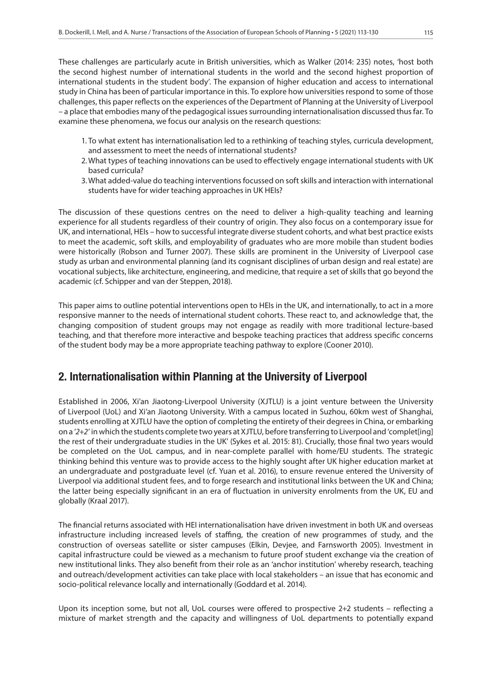These challenges are particularly acute in British universities, which as Walker (2014: 235) notes, 'host both the second highest number of international students in the world and the second highest proportion of international students in the student body'. The expansion of higher education and access to international study in China has been of particular importance in this. To explore how universities respond to some of those challenges, this paper reflects on the experiences of the Department of Planning at the University of Liverpool – a place that embodies many of the pedagogical issues surrounding internationalisation discussed thus far. To examine these phenomena, we focus our analysis on the research questions:

- 1. To what extent has internationalisation led to a rethinking of teaching styles, curricula development, and assessment to meet the needs of international students?
- 2.What types of teaching innovations can be used to effectively engage international students with UK based curricula?
- 3.What added-value do teaching interventions focussed on soft skills and interaction with international students have for wider teaching approaches in UK HEIs?

The discussion of these questions centres on the need to deliver a high-quality teaching and learning experience for all students regardless of their country of origin. They also focus on a contemporary issue for UK, and international, HEIs – how to successful integrate diverse student cohorts, and what best practice exists to meet the academic, soft skills, and employability of graduates who are more mobile than student bodies were historically (Robson and Turner 2007). These skills are prominent in the University of Liverpool case study as urban and environmental planning (and its cognisant disciplines of urban design and real estate) are vocational subjects, like architecture, engineering, and medicine, that require a set of skills that go beyond the academic (cf. Schipper and van der Steppen, 2018).

This paper aims to outline potential interventions open to HEIs in the UK, and internationally, to act in a more responsive manner to the needs of international student cohorts. These react to, and acknowledge that, the changing composition of student groups may not engage as readily with more traditional lecture-based teaching, and that therefore more interactive and bespoke teaching practices that address specific concerns of the student body may be a more appropriate teaching pathway to explore (Cooner 2010).

## 2. Internationalisation within Planning at the University of Liverpool

Established in 2006, Xi'an Jiaotong-Liverpool University (XJTLU) is a joint venture between the University of Liverpool (UoL) and Xi'an Jiaotong University. With a campus located in Suzhou, 60km west of Shanghai, students enrolling at XJTLU have the option of completing the entirety of their degrees in China, or embarking on a '*2+2*' in which the students complete two years at XJTLU, before transferring to Liverpool and 'complet[ing] the rest of their undergraduate studies in the UK' (Sykes et al. 2015: 81). Crucially, those final two years would be completed on the UoL campus, and in near-complete parallel with home/EU students. The strategic thinking behind this venture was to provide access to the highly sought after UK higher education market at an undergraduate and postgraduate level (cf. Yuan et al. 2016), to ensure revenue entered the University of Liverpool via additional student fees, and to forge research and institutional links between the UK and China; the latter being especially significant in an era of fluctuation in university enrolments from the UK, EU and globally (Kraal 2017).

The financial returns associated with HEI internationalisation have driven investment in both UK and overseas infrastructure including increased levels of staffing, the creation of new programmes of study, and the construction of overseas satellite or sister campuses (Elkin, Devjee, and Farnsworth 2005). Investment in capital infrastructure could be viewed as a mechanism to future proof student exchange via the creation of new institutional links. They also benefit from their role as an 'anchor institution' whereby research, teaching and outreach/development activities can take place with local stakeholders – an issue that has economic and socio-political relevance locally and internationally (Goddard et al. 2014).

Upon its inception some, but not all, UoL courses were offered to prospective 2+2 students – reflecting a mixture of market strength and the capacity and willingness of UoL departments to potentially expand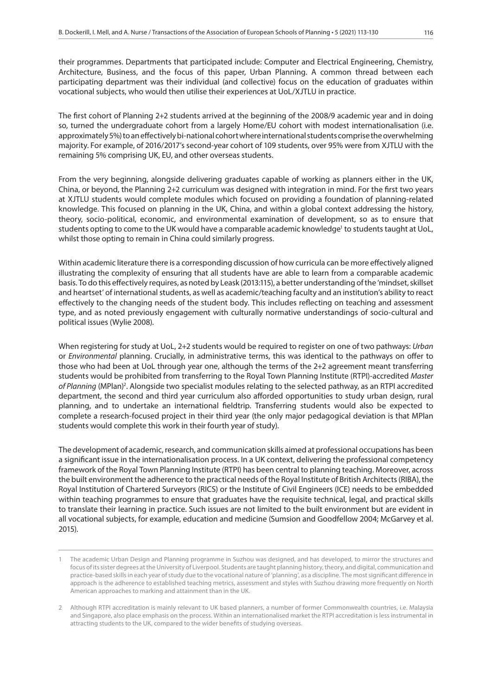their programmes. Departments that participated include: Computer and Electrical Engineering, Chemistry, Architecture, Business, and the focus of this paper, Urban Planning. A common thread between each participating department was their individual (and collective) focus on the education of graduates within vocational subjects, who would then utilise their experiences at UoL/XJTLU in practice.

The first cohort of Planning 2+2 students arrived at the beginning of the 2008/9 academic year and in doing so, turned the undergraduate cohort from a largely Home/EU cohort with modest internationalisation (i.e. approximately 5%) to an effectively bi-national cohort where international students comprise the overwhelming majority. For example, of 2016/2017's second-year cohort of 109 students, over 95% were from XJTLU with the remaining 5% comprising UK, EU, and other overseas students.

From the very beginning, alongside delivering graduates capable of working as planners either in the UK, China, or beyond, the Planning 2+2 curriculum was designed with integration in mind. For the first two years at XJTLU students would complete modules which focused on providing a foundation of planning-related knowledge. This focused on planning in the UK, China, and within a global context addressing the history, theory, socio-political, economic, and environmental examination of development, so as to ensure that students opting to come to the UK would have a comparable academic knowledge<sup>1</sup> to students taught at UoL, whilst those opting to remain in China could similarly progress.

Within academic literature there is a corresponding discussion of how curricula can be more effectively aligned illustrating the complexity of ensuring that all students have are able to learn from a comparable academic basis. To do this effectively requires, as noted by Leask (2013:115), a better understanding of the 'mindset, skillset and heartset' of international students, as well as academic/teaching faculty and an institution's ability to react effectively to the changing needs of the student body. This includes reflecting on teaching and assessment type, and as noted previously engagement with culturally normative understandings of socio-cultural and political issues (Wylie 2008).

When registering for study at UoL, 2+2 students would be required to register on one of two pathways: *Urban* or *Environmental* planning. Crucially, in administrative terms, this was identical to the pathways on offer to those who had been at UoL through year one, although the terms of the 2+2 agreement meant transferring students would be prohibited from transferring to the Royal Town Planning Institute (RTPI)-accredited *Master*  of Planning (MPlan)<sup>2</sup>. Alongside two specialist modules relating to the selected pathway, as an RTPI accredited department, the second and third year curriculum also afforded opportunities to study urban design, rural planning, and to undertake an international fieldtrip. Transferring students would also be expected to complete a research-focused project in their third year (the only major pedagogical deviation is that MPlan students would complete this work in their fourth year of study).

The development of academic, research, and communication skills aimed at professional occupations has been a significant issue in the internationalisation process. In a UK context, delivering the professional competency framework of the Royal Town Planning Institute (RTPI) has been central to planning teaching. Moreover, across the built environment the adherence to the practical needs of the Royal Institute of British Architects (RIBA), the Royal Institution of Chartered Surveyors (RICS) or the Institute of Civil Engineers (ICE) needs to be embedded within teaching programmes to ensure that graduates have the requisite technical, legal, and practical skills to translate their learning in practice. Such issues are not limited to the built environment but are evident in all vocational subjects, for example, education and medicine (Sumsion and Goodfellow 2004; McGarvey et al. 2015).

<sup>1</sup> The academic Urban Design and Planning programme in Suzhou was designed, and has developed, to mirror the structures and focus of its sister degrees at the University of Liverpool. Students are taught planning history, theory, and digital, communication and practice-based skills in each year of study due to the vocational nature of 'planning', as a discipline. The most significant difference in approach is the adherence to established teaching metrics, assessment and styles with Suzhou drawing more frequently on North American approaches to marking and attainment than in the UK.

<sup>2</sup> Although RTPI accreditation is mainly relevant to UK based planners, a number of former Commonwealth countries, i.e. Malaysia and Singapore, also place emphasis on the process. Within an internationalised market the RTPI accreditation is less instrumental in attracting students to the UK, compared to the wider benefits of studying overseas.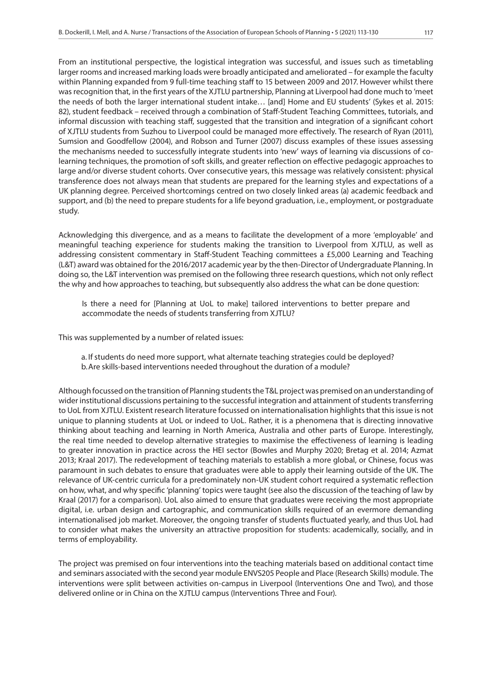From an institutional perspective, the logistical integration was successful, and issues such as timetabling larger rooms and increased marking loads were broadly anticipated and ameliorated – for example the faculty within Planning expanded from 9 full-time teaching staff to 15 between 2009 and 2017. However whilst there was recognition that, in the first years of the XJTLU partnership, Planning at Liverpool had done much to 'meet the needs of both the larger international student intake… [and] Home and EU students' (Sykes et al. 2015: 82), student feedback – received through a combination of Staff-Student Teaching Committees, tutorials, and informal discussion with teaching staff, suggested that the transition and integration of a significant cohort of XJTLU students from Suzhou to Liverpool could be managed more effectively. The research of Ryan (2011), Sumsion and Goodfellow (2004), and Robson and Turner (2007) discuss examples of these issues assessing the mechanisms needed to successfully integrate students into 'new' ways of learning via discussions of colearning techniques, the promotion of soft skills, and greater reflection on effective pedagogic approaches to large and/or diverse student cohorts. Over consecutive years, this message was relatively consistent: physical transference does not always mean that students are prepared for the learning styles and expectations of a UK planning degree. Perceived shortcomings centred on two closely linked areas (a) academic feedback and support, and (b) the need to prepare students for a life beyond graduation, i.e., employment, or postgraduate study.

Acknowledging this divergence, and as a means to facilitate the development of a more 'employable' and meaningful teaching experience for students making the transition to Liverpool from XJTLU, as well as addressing consistent commentary in Staff-Student Teaching committees a £5,000 Learning and Teaching (L&T) award was obtained for the 2016/2017 academic year by the then-Director of Undergraduate Planning. In doing so, the L&T intervention was premised on the following three research questions, which not only reflect the why and how approaches to teaching, but subsequently also address the what can be done question:

Is there a need for [Planning at UoL to make] tailored interventions to better prepare and accommodate the needs of students transferring from XJTLU?

This was supplemented by a number of related issues:

a. If students do need more support, what alternate teaching strategies could be deployed? b.Are skills-based interventions needed throughout the duration of a module?

Although focussed on the transition of Planning students the T&L project was premised on an understanding of wider institutional discussions pertaining to the successful integration and attainment of students transferring to UoL from XJTLU. Existent research literature focussed on internationalisation highlights that this issue is not unique to planning students at UoL or indeed to UoL. Rather, it is a phenomena that is directing innovative thinking about teaching and learning in North America, Australia and other parts of Europe. Interestingly, the real time needed to develop alternative strategies to maximise the effectiveness of learning is leading to greater innovation in practice across the HEI sector (Bowles and Murphy 2020; Bretag et al. 2014; Azmat 2013; Kraal 2017). The redevelopment of teaching materials to establish a more global, or Chinese, focus was paramount in such debates to ensure that graduates were able to apply their learning outside of the UK. The relevance of UK-centric curricula for a predominately non-UK student cohort required a systematic reflection on how, what, and why specific 'planning' topics were taught (see also the discussion of the teaching of law by Kraal (2017) for a comparison). UoL also aimed to ensure that graduates were receiving the most appropriate digital, i.e. urban design and cartographic, and communication skills required of an evermore demanding internationalised job market. Moreover, the ongoing transfer of students fluctuated yearly, and thus UoL had to consider what makes the university an attractive proposition for students: academically, socially, and in terms of employability.

The project was premised on four interventions into the teaching materials based on additional contact time and seminars associated with the second year module ENVS205 People and Place (Research Skills) module. The interventions were split between activities on-campus in Liverpool (Interventions One and Two), and those delivered online or in China on the XJTLU campus (Interventions Three and Four).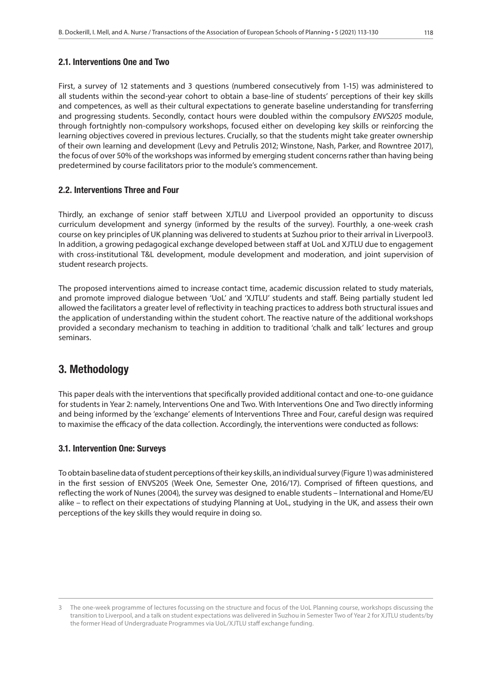First, a survey of 12 statements and 3 questions (numbered consecutively from 1-15) was administered to all students within the second-year cohort to obtain a base-line of students' perceptions of their key skills and competences, as well as their cultural expectations to generate baseline understanding for transferring and progressing students. Secondly, contact hours were doubled within the compulsory *ENVS205* module, through fortnightly non-compulsory workshops, focused either on developing key skills or reinforcing the learning objectives covered in previous lectures. Crucially, so that the students might take greater ownership of their own learning and development (Levy and Petrulis 2012; Winstone, Nash, Parker, and Rowntree 2017), the focus of over 50% of the workshops was informed by emerging student concerns rather than having being predetermined by course facilitators prior to the module's commencement.

### 2.2. Interventions Three and Four

Thirdly, an exchange of senior staff between XJTLU and Liverpool provided an opportunity to discuss curriculum development and synergy (informed by the results of the survey). Fourthly, a one-week crash course on key principles of UK planning was delivered to students at Suzhou prior to their arrival in Liverpool3. In addition, a growing pedagogical exchange developed between staff at UoL and XJTLU due to engagement with cross-institutional T&L development, module development and moderation, and joint supervision of student research projects.

The proposed interventions aimed to increase contact time, academic discussion related to study materials, and promote improved dialogue between 'UoL' and 'XJTLU' students and staff. Being partially student led allowed the facilitators a greater level of reflectivity in teaching practices to address both structural issues and the application of understanding within the student cohort. The reactive nature of the additional workshops provided a secondary mechanism to teaching in addition to traditional 'chalk and talk' lectures and group seminars.

## 3. Methodology

This paper deals with the interventions that specifically provided additional contact and one-to-one guidance for students in Year 2: namely, Interventions One and Two. With Interventions One and Two directly informing and being informed by the 'exchange' elements of Interventions Three and Four, careful design was required to maximise the efficacy of the data collection. Accordingly, the interventions were conducted as follows:

## 3.1. Intervention One: Surveys

To obtain baseline data of student perceptions of their key skills, an individual survey (Figure 1) was administered in the first session of ENVS205 (Week One, Semester One, 2016/17). Comprised of fifteen questions, and reflecting the work of Nunes (2004), the survey was designed to enable students – International and Home/EU alike – to reflect on their expectations of studying Planning at UoL, studying in the UK, and assess their own perceptions of the key skills they would require in doing so.

<sup>3</sup> The one-week programme of lectures focussing on the structure and focus of the UoL Planning course, workshops discussing the transition to Liverpool, and a talk on student expectations was delivered in Suzhou in Semester Two of Year 2 for XJTLU students/by the former Head of Undergraduate Programmes via UoL/XJTLU staff exchange funding.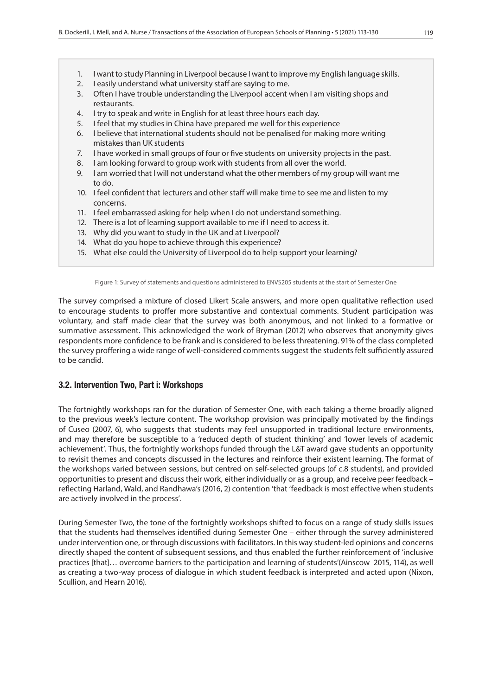- 1. I want to study Planning in Liverpool because I want to improve my English language skills.
- 2. I easily understand what university staff are saying to me.
- 3. Often I have trouble understanding the Liverpool accent when I am visiting shops and restaurants.
- 4. I try to speak and write in English for at least three hours each day.
- 5. I feel that my studies in China have prepared me well for this experience
- 6. I believe that international students should not be penalised for making more writing mistakes than UK students
- 7. I have worked in small groups of four or five students on university projects in the past.
- 8. I am looking forward to group work with students from all over the world.
- 9. I am worried that I will not understand what the other members of my group will want me to do.
- 10. I feel confident that lecturers and other staff will make time to see me and listen to my concerns.
- 11. I feel embarrassed asking for help when I do not understand something.
- 12. There is a lot of learning support available to me if I need to access it.
- 13. Why did you want to study in the UK and at Liverpool?
- 14. What do you hope to achieve through this experience?
- 15. What else could the University of Liverpool do to help support your learning?

Figure 1: Survey of statements and questions administered to ENVS205 students at the start of Semester One

The survey comprised a mixture of closed Likert Scale answers, and more open qualitative reflection used to encourage students to proffer more substantive and contextual comments. Student participation was voluntary, and staff made clear that the survey was both anonymous, and not linked to a formative or summative assessment. This acknowledged the work of Bryman (2012) who observes that anonymity gives respondents more confidence to be frank and is considered to be less threatening. 91% of the class completed the survey proffering a wide range of well-considered comments suggest the students felt sufficiently assured to be candid.

#### 3.2. Intervention Two, Part i: Workshops

The fortnightly workshops ran for the duration of Semester One, with each taking a theme broadly aligned to the previous week's lecture content. The workshop provision was principally motivated by the findings of Cuseo (2007, 6), who suggests that students may feel unsupported in traditional lecture environments, and may therefore be susceptible to a 'reduced depth of student thinking' and 'lower levels of academic achievement'. Thus, the fortnightly workshops funded through the L&T award gave students an opportunity to revisit themes and concepts discussed in the lectures and reinforce their existent learning. The format of the workshops varied between sessions, but centred on self-selected groups (of c.8 students), and provided opportunities to present and discuss their work, either individually or as a group, and receive peer feedback – reflecting Harland, Wald, and Randhawa's (2016, 2) contention 'that 'feedback is most effective when students are actively involved in the process'.

During Semester Two, the tone of the fortnightly workshops shifted to focus on a range of study skills issues that the students had themselves identified during Semester One – either through the survey administered under intervention one, or through discussions with facilitators. In this way student-led opinions and concerns directly shaped the content of subsequent sessions, and thus enabled the further reinforcement of 'inclusive practices [that]… overcome barriers to the participation and learning of students'(Ainscow 2015, 114), as well as creating a two-way process of dialogue in which student feedback is interpreted and acted upon (Nixon, Scullion, and Hearn 2016).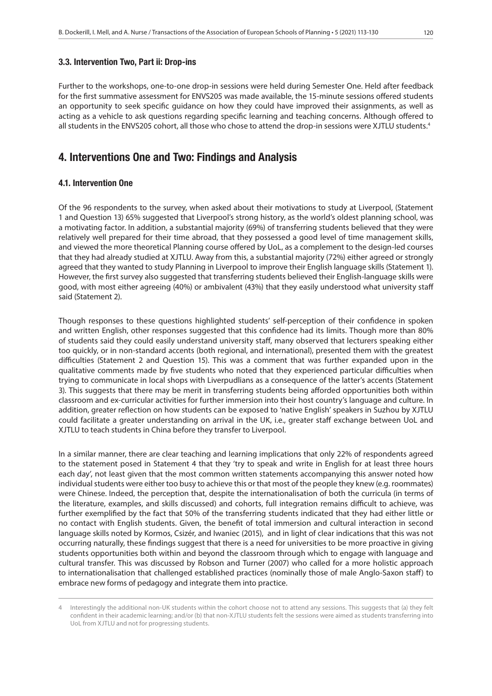Further to the workshops, one-to-one drop-in sessions were held during Semester One. Held after feedback for the first summative assessment for ENVS205 was made available, the 15-minute sessions offered students an opportunity to seek specific guidance on how they could have improved their assignments, as well as acting as a vehicle to ask questions regarding specific learning and teaching concerns. Although offered to all students in the ENVS205 cohort, all those who chose to attend the drop-in sessions were XJTLU students.<sup>4</sup>

## 4. Interventions One and Two: Findings and Analysis

## 4.1. Intervention One

Of the 96 respondents to the survey, when asked about their motivations to study at Liverpool, (Statement 1 and Question 13) 65% suggested that Liverpool's strong history, as the world's oldest planning school, was a motivating factor. In addition, a substantial majority (69%) of transferring students believed that they were relatively well prepared for their time abroad, that they possessed a good level of time management skills, and viewed the more theoretical Planning course offered by UoL, as a complement to the design-led courses that they had already studied at XJTLU. Away from this, a substantial majority (72%) either agreed or strongly agreed that they wanted to study Planning in Liverpool to improve their English language skills (Statement 1). However, the first survey also suggested that transferring students believed their English-language skills were good, with most either agreeing (40%) or ambivalent (43%) that they easily understood what university staff said (Statement 2).

Though responses to these questions highlighted students' self-perception of their confidence in spoken and written English, other responses suggested that this confidence had its limits. Though more than 80% of students said they could easily understand university staff, many observed that lecturers speaking either too quickly, or in non-standard accents (both regional, and international), presented them with the greatest difficulties (Statement 2 and Question 15). This was a comment that was further expanded upon in the qualitative comments made by five students who noted that they experienced particular difficulties when trying to communicate in local shops with Liverpudlians as a consequence of the latter's accents (Statement 3). This suggests that there may be merit in transferring students being afforded opportunities both within classroom and ex-curricular activities for further immersion into their host country's language and culture. In addition, greater reflection on how students can be exposed to 'native English' speakers in Suzhou by XJTLU could facilitate a greater understanding on arrival in the UK, i.e., greater staff exchange between UoL and XJTLU to teach students in China before they transfer to Liverpool.

In a similar manner, there are clear teaching and learning implications that only 22% of respondents agreed to the statement posed in Statement 4 that they 'try to speak and write in English for at least three hours each day', not least given that the most common written statements accompanying this answer noted how individual students were either too busy to achieve this or that most of the people they knew (e.g. roommates) were Chinese. Indeed, the perception that, despite the internationalisation of both the curricula (in terms of the literature, examples, and skills discussed) and cohorts, full integration remains difficult to achieve, was further exemplified by the fact that 50% of the transferring students indicated that they had either little or no contact with English students. Given, the benefit of total immersion and cultural interaction in second language skills noted by Kormos, Csizér, and Iwaniec (2015), and in light of clear indications that this was not occurring naturally, these findings suggest that there is a need for universities to be more proactive in giving students opportunities both within and beyond the classroom through which to engage with language and cultural transfer. This was discussed by Robson and Turner (2007) who called for a more holistic approach to internationalisation that challenged established practices (nominally those of male Anglo-Saxon staff) to embrace new forms of pedagogy and integrate them into practice.

Interestingly the additional non-UK students within the cohort choose not to attend any sessions. This suggests that (a) they felt confident in their academic learning; and/or (b) that non-XJTLU students felt the sessions were aimed as students transferring into UoL from XJTLU and not for progressing students.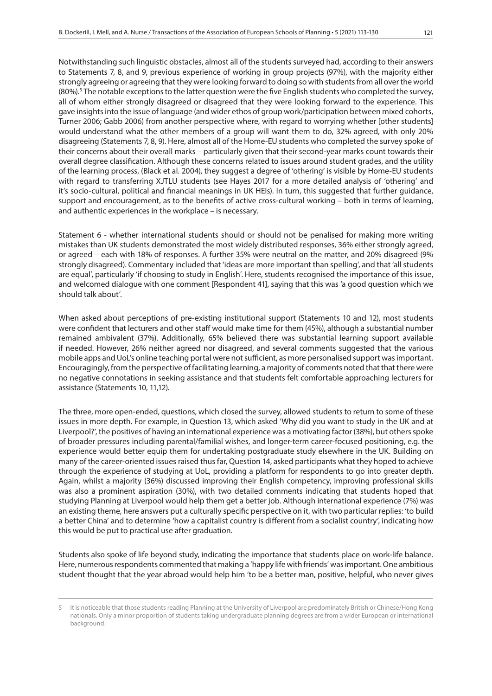strongly agreeing or agreeing that they were looking forward to doing so with students from all over the world (80%).<sup>5</sup> The notable exceptions to the latter question were the five English students who completed the survey, all of whom either strongly disagreed or disagreed that they were looking forward to the experience. This gave insights into the issue of language (and wider ethos of group work/participation between mixed cohorts, Turner 2006; Gabb 2006) from another perspective where, with regard to worrying whether [other students] would understand what the other members of a group will want them to do, 32% agreed, with only 20% disagreeing (Statements 7, 8, 9). Here, almost all of the Home-EU students who completed the survey spoke of their concerns about their overall marks – particularly given that their second-year marks count towards their overall degree classification. Although these concerns related to issues around student grades, and the utility of the learning process, (Black et al. 2004), they suggest a degree of 'othering' is visible by Home-EU students with regard to transferring XJTLU students (see Hayes 2017 for a more detailed analysis of 'othering' and it's socio-cultural, political and financial meanings in UK HEIs). In turn, this suggested that further guidance, support and encouragement, as to the benefits of active cross-cultural working – both in terms of learning, and authentic experiences in the workplace – is necessary.

Statement 6 - whether international students should or should not be penalised for making more writing mistakes than UK students demonstrated the most widely distributed responses, 36% either strongly agreed, or agreed – each with 18% of responses. A further 35% were neutral on the matter, and 20% disagreed (9% strongly disagreed). Commentary included that 'ideas are more important than spelling', and that 'all students are equal', particularly 'if choosing to study in English'. Here, students recognised the importance of this issue, and welcomed dialogue with one comment [Respondent 41], saying that this was 'a good question which we should talk about'.

When asked about perceptions of pre-existing institutional support (Statements 10 and 12), most students were confident that lecturers and other staff would make time for them (45%), although a substantial number remained ambivalent (37%). Additionally, 65% believed there was substantial learning support available if needed. However, 26% neither agreed nor disagreed, and several comments suggested that the various mobile apps and UoL's online teaching portal were not sufficient, as more personalised support was important. Encouragingly, from the perspective of facilitating learning, a majority of comments noted that that there were no negative connotations in seeking assistance and that students felt comfortable approaching lecturers for assistance (Statements 10, 11,12).

The three, more open-ended, questions, which closed the survey, allowed students to return to some of these issues in more depth. For example, in Question 13, which asked 'Why did you want to study in the UK and at Liverpool?', the positives of having an international experience was a motivating factor (38%), but others spoke of broader pressures including parental/familial wishes, and longer-term career-focused positioning, e.g. the experience would better equip them for undertaking postgraduate study elsewhere in the UK. Building on many of the career-oriented issues raised thus far, Question 14, asked participants what they hoped to achieve through the experience of studying at UoL, providing a platform for respondents to go into greater depth. Again, whilst a majority (36%) discussed improving their English competency, improving professional skills was also a prominent aspiration (30%), with two detailed comments indicating that students hoped that studying Planning at Liverpool would help them get a better job. Although international experience (7%) was an existing theme, here answers put a culturally specific perspective on it, with two particular replies: 'to build a better China' and to determine 'how a capitalist country is different from a socialist country', indicating how this would be put to practical use after graduation.

Students also spoke of life beyond study, indicating the importance that students place on work-life balance. Here, numerous respondents commented that making a 'happy life with friends' was important. One ambitious student thought that the year abroad would help him 'to be a better man, positive, helpful, who never gives

<sup>5</sup> It is noticeable that those students reading Planning at the University of Liverpool are predominately British or Chinese/Hong Kong nationals. Only a minor proportion of students taking undergraduate planning degrees are from a wider European or international background.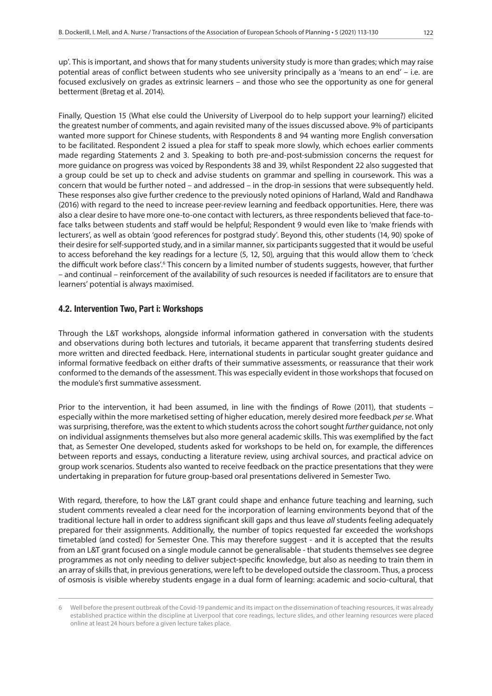up'. This is important, and shows that for many students university study is more than grades; which may raise potential areas of conflict between students who see university principally as a 'means to an end' – i.e. are focused exclusively on grades as extrinsic learners – and those who see the opportunity as one for general betterment (Bretag et al. 2014).

Finally, Question 15 (What else could the University of Liverpool do to help support your learning?) elicited the greatest number of comments, and again revisited many of the issues discussed above. 9% of participants wanted more support for Chinese students, with Respondents 8 and 94 wanting more English conversation to be facilitated. Respondent 2 issued a plea for staff to speak more slowly, which echoes earlier comments made regarding Statements 2 and 3. Speaking to both pre-and-post-submission concerns the request for more guidance on progress was voiced by Respondents 38 and 39, whilst Respondent 22 also suggested that a group could be set up to check and advise students on grammar and spelling in coursework. This was a concern that would be further noted – and addressed – in the drop-in sessions that were subsequently held. These responses also give further credence to the previously noted opinions of Harland, Wald and Randhawa (2016) with regard to the need to increase peer-review learning and feedback opportunities. Here, there was also a clear desire to have more one-to-one contact with lecturers, as three respondents believed that face-toface talks between students and staff would be helpful; Respondent 9 would even like to 'make friends with lecturers', as well as obtain 'good references for postgrad study'. Beyond this, other students (14, 90) spoke of their desire for self-supported study, and in a similar manner, six participants suggested that it would be useful to access beforehand the key readings for a lecture (5, 12, 50), arguing that this would allow them to 'check the difficult work before class'.<sup>6</sup> This concern by a limited number of students suggests, however, that further – and continual – reinforcement of the availability of such resources is needed if facilitators are to ensure that learners' potential is always maximised.

#### 4.2. Intervention Two, Part i: Workshops

Through the L&T workshops, alongside informal information gathered in conversation with the students and observations during both lectures and tutorials, it became apparent that transferring students desired more written and directed feedback. Here, international students in particular sought greater guidance and informal formative feedback on either drafts of their summative assessments, or reassurance that their work conformed to the demands of the assessment. This was especially evident in those workshops that focused on the module's first summative assessment.

Prior to the intervention, it had been assumed, in line with the findings of Rowe (2011), that students – especially within the more marketised setting of higher education, merely desired more feedback *per se*. What was surprising, therefore, was the extent to which students across the cohort sought *further* guidance, not only on individual assignments themselves but also more general academic skills. This was exemplified by the fact that, as Semester One developed, students asked for workshops to be held on, for example, the differences between reports and essays, conducting a literature review, using archival sources, and practical advice on group work scenarios. Students also wanted to receive feedback on the practice presentations that they were undertaking in preparation for future group-based oral presentations delivered in Semester Two.

With regard, therefore, to how the L&T grant could shape and enhance future teaching and learning, such student comments revealed a clear need for the incorporation of learning environments beyond that of the traditional lecture hall in order to address significant skill gaps and thus leave *all* students feeling adequately prepared for their assignments. Additionally, the number of topics requested far exceeded the workshops timetabled (and costed) for Semester One. This may therefore suggest - and it is accepted that the results from an L&T grant focused on a single module cannot be generalisable - that students themselves see degree programmes as not only needing to deliver subject-specific knowledge, but also as needing to train them in an array of skills that, in previous generations, were left to be developed outside the classroom. Thus, a process of osmosis is visible whereby students engage in a dual form of learning: academic and socio-cultural, that

<sup>6</sup> Well before the present outbreak of the Covid-19 pandemic and its impact on the dissemination of teaching resources, it was already established practice within the discipline at Liverpool that core readings, lecture slides, and other learning resources were placed online at least 24 hours before a given lecture takes place.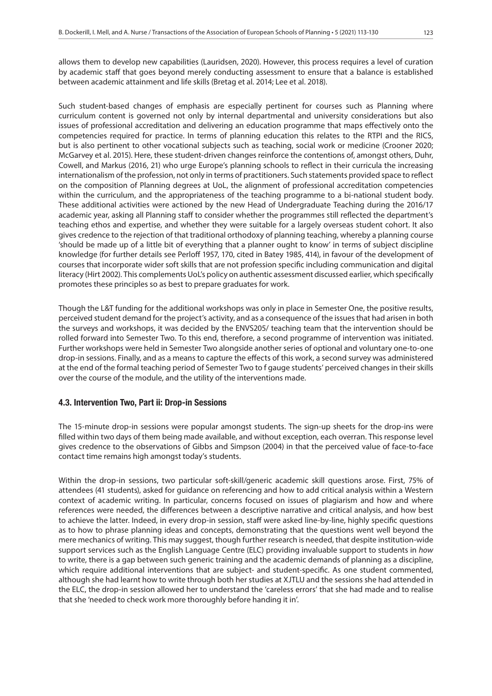allows them to develop new capabilities (Lauridsen, 2020). However, this process requires a level of curation by academic staff that goes beyond merely conducting assessment to ensure that a balance is established between academic attainment and life skills (Bretag et al. 2014; Lee et al. 2018).

Such student-based changes of emphasis are especially pertinent for courses such as Planning where curriculum content is governed not only by internal departmental and university considerations but also issues of professional accreditation and delivering an education programme that maps effectively onto the competencies required for practice. In terms of planning education this relates to the RTPI and the RICS, but is also pertinent to other vocational subjects such as teaching, social work or medicine (Crooner 2020; McGarvey et al. 2015). Here, these student-driven changes reinforce the contentions of, amongst others, Duhr, Cowell, and Markus (2016, 21) who urge Europe's planning schools to reflect in their curricula the increasing internationalism of the profession, not only in terms of practitioners. Such statements provided space to reflect on the composition of Planning degrees at UoL, the alignment of professional accreditation competencies within the curriculum, and the appropriateness of the teaching programme to a bi-national student body. These additional activities were actioned by the new Head of Undergraduate Teaching during the 2016/17 academic year, asking all Planning staff to consider whether the programmes still reflected the department's teaching ethos and expertise, and whether they were suitable for a largely overseas student cohort. It also gives credence to the rejection of that traditional orthodoxy of planning teaching, whereby a planning course 'should be made up of a little bit of everything that a planner ought to know' in terms of subject discipline knowledge (for further details see Perloff 1957, 170, cited in Batey 1985, 414), in favour of the development of courses that incorporate wider soft skills that are not profession specific including communication and digital literacy (Hirt 2002). This complements UoL's policy on authentic assessment discussed earlier, which specifically promotes these principles so as best to prepare graduates for work.

Though the L&T funding for the additional workshops was only in place in Semester One, the positive results, perceived student demand for the project's activity, and as a consequence of the issues that had arisen in both the surveys and workshops, it was decided by the ENVS205/ teaching team that the intervention should be rolled forward into Semester Two. To this end, therefore, a second programme of intervention was initiated. Further workshops were held in Semester Two alongside another series of optional and voluntary one-to-one drop-in sessions. Finally, and as a means to capture the effects of this work, a second survey was administered at the end of the formal teaching period of Semester Two to f gauge students' perceived changes in their skills over the course of the module, and the utility of the interventions made.

#### 4.3. Intervention Two, Part ii: Drop-in Sessions

The 15-minute drop-in sessions were popular amongst students. The sign-up sheets for the drop-ins were filled within two days of them being made available, and without exception, each overran. This response level gives credence to the observations of Gibbs and Simpson (2004) in that the perceived value of face-to-face contact time remains high amongst today's students.

Within the drop-in sessions, two particular soft-skill/generic academic skill questions arose. First, 75% of attendees (41 students), asked for guidance on referencing and how to add critical analysis within a Western context of academic writing. In particular, concerns focused on issues of plagiarism and how and where references were needed, the differences between a descriptive narrative and critical analysis, and how best to achieve the latter. Indeed, in every drop-in session, staff were asked line-by-line, highly specific questions as to how to phrase planning ideas and concepts, demonstrating that the questions went well beyond the mere mechanics of writing. This may suggest, though further research is needed, that despite institution-wide support services such as the English Language Centre (ELC) providing invaluable support to students in *how* to write, there is a gap between such generic training and the academic demands of planning as a discipline, which require additional interventions that are subject- and student-specific. As one student commented, although she had learnt how to write through both her studies at XJTLU and the sessions she had attended in the ELC, the drop-in session allowed her to understand the 'careless errors' that she had made and to realise that she 'needed to check work more thoroughly before handing it in'.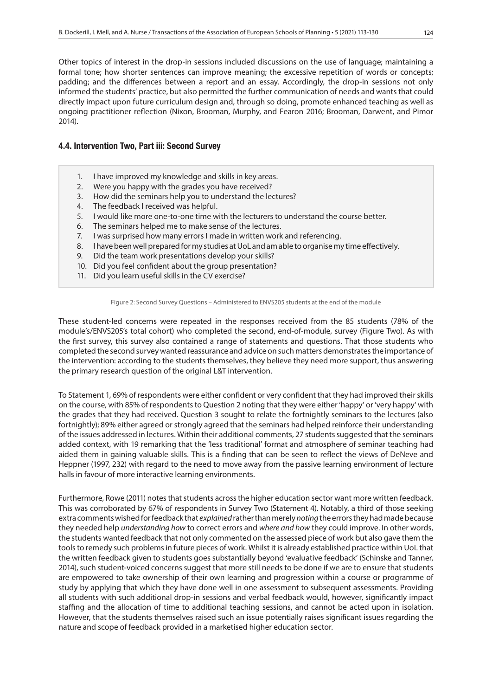Other topics of interest in the drop-in sessions included discussions on the use of language; maintaining a formal tone; how shorter sentences can improve meaning; the excessive repetition of words or concepts; padding; and the differences between a report and an essay. Accordingly, the drop-in sessions not only informed the students' practice, but also permitted the further communication of needs and wants that could directly impact upon future curriculum design and, through so doing, promote enhanced teaching as well as ongoing practitioner reflection (Nixon, Brooman, Murphy, and Fearon 2016; Brooman, Darwent, and Pimor 2014).

#### 4.4. Intervention Two, Part iii: Second Survey

- 1. I have improved my knowledge and skills in key areas.
- 2. Were you happy with the grades you have received?
- 3. How did the seminars help you to understand the lectures?
- 4. The feedback I received was helpful.
- 5. I would like more one-to-one time with the lecturers to understand the course better.
- 6. The seminars helped me to make sense of the lectures.
- 7. I was surprised how many errors I made in written work and referencing.
- 8. I have been well prepared for my studies at UoL and am able to organise my time effectively.
- 9. Did the team work presentations develop your skills?
- 10. Did you feel confident about the group presentation?
- 11. Did you learn useful skills in the CV exercise?

#### Figure 2: Second Survey Questions – Administered to ENVS205 students at the end of the module

These student-led concerns were repeated in the responses received from the 85 students (78% of the module's/ENVS205's total cohort) who completed the second, end-of-module, survey (Figure Two). As with the first survey, this survey also contained a range of statements and questions. That those students who completed the second survey wanted reassurance and advice on such matters demonstrates the importance of the intervention: according to the students themselves, they believe they need more support, thus answering the primary research question of the original L&T intervention.

To Statement 1, 69% of respondents were either confident or very confident that they had improved their skills on the course, with 85% of respondents to Question 2 noting that they were either 'happy' or 'very happy' with the grades that they had received. Question 3 sought to relate the fortnightly seminars to the lectures (also fortnightly); 89% either agreed or strongly agreed that the seminars had helped reinforce their understanding of the issues addressed in lectures. Within their additional comments, 27 students suggested that the seminars added context, with 19 remarking that the 'less traditional' format and atmosphere of seminar teaching had aided them in gaining valuable skills. This is a finding that can be seen to reflect the views of DeNeve and Heppner (1997, 232) with regard to the need to move away from the passive learning environment of lecture halls in favour of more interactive learning environments.

Furthermore, Rowe (2011) notes that students across the higher education sector want more written feedback. This was corroborated by 67% of respondents in Survey Two (Statement 4). Notably, a third of those seeking extra comments wished for feedback that *explained* rather than merely *noting* the errors they had made because they needed help *understanding how* to correct errors and *where and how* they could improve. In other words, the students wanted feedback that not only commented on the assessed piece of work but also gave them the tools to remedy such problems in future pieces of work. Whilst it is already established practice within UoL that the written feedback given to students goes substantially beyond 'evaluative feedback' (Schinske and Tanner, 2014), such student-voiced concerns suggest that more still needs to be done if we are to ensure that students are empowered to take ownership of their own learning and progression within a course or programme of study by applying that which they have done well in one assessment to subsequent assessments. Providing all students with such additional drop-in sessions and verbal feedback would, however, significantly impact staffing and the allocation of time to additional teaching sessions, and cannot be acted upon in isolation. However, that the students themselves raised such an issue potentially raises significant issues regarding the nature and scope of feedback provided in a marketised higher education sector.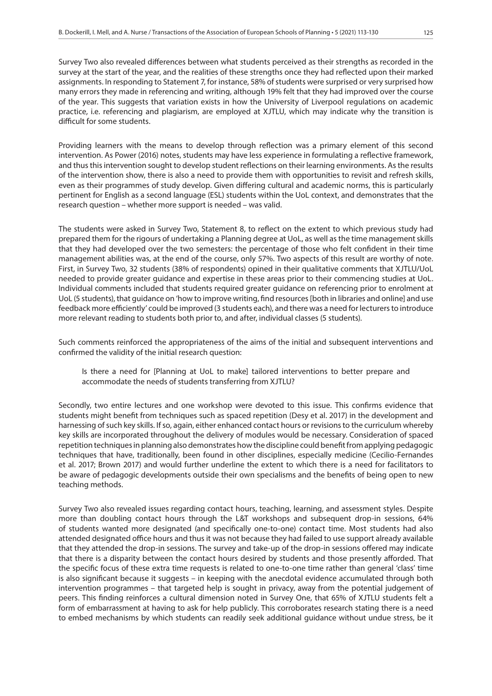Survey Two also revealed differences between what students perceived as their strengths as recorded in the survey at the start of the year, and the realities of these strengths once they had reflected upon their marked assignments. In responding to Statement 7, for instance, 58% of students were surprised or very surprised how many errors they made in referencing and writing, although 19% felt that they had improved over the course of the year. This suggests that variation exists in how the University of Liverpool regulations on academic practice, i.e. referencing and plagiarism, are employed at XJTLU, which may indicate why the transition is difficult for some students.

Providing learners with the means to develop through reflection was a primary element of this second intervention. As Power (2016) notes, students may have less experience in formulating a reflective framework, and thus this intervention sought to develop student reflections on their learning environments. As the results of the intervention show, there is also a need to provide them with opportunities to revisit and refresh skills, even as their programmes of study develop. Given differing cultural and academic norms, this is particularly pertinent for English as a second language (ESL) students within the UoL context, and demonstrates that the research question – whether more support is needed – was valid.

The students were asked in Survey Two, Statement 8, to reflect on the extent to which previous study had prepared them for the rigours of undertaking a Planning degree at UoL, as well as the time management skills that they had developed over the two semesters: the percentage of those who felt confident in their time management abilities was, at the end of the course, only 57%. Two aspects of this result are worthy of note. First, in Survey Two, 32 students (38% of respondents) opined in their qualitative comments that XJTLU/UoL needed to provide greater guidance and expertise in these areas prior to their commencing studies at UoL. Individual comments included that students required greater guidance on referencing prior to enrolment at UoL (5 students), that guidance on 'how to improve writing, find resources [both in libraries and online] and use feedback more efficiently' could be improved (3 students each), and there was a need for lecturers to introduce more relevant reading to students both prior to, and after, individual classes (5 students).

Such comments reinforced the appropriateness of the aims of the initial and subsequent interventions and confirmed the validity of the initial research question:

Is there a need for [Planning at UoL to make] tailored interventions to better prepare and accommodate the needs of students transferring from XJTLU?

Secondly, two entire lectures and one workshop were devoted to this issue. This confirms evidence that students might benefit from techniques such as spaced repetition (Desy et al. 2017) in the development and harnessing of such key skills. If so, again, either enhanced contact hours or revisions to the curriculum whereby key skills are incorporated throughout the delivery of modules would be necessary. Consideration of spaced repetition techniques in planning also demonstrates how the discipline could benefit from applying pedagogic techniques that have, traditionally, been found in other disciplines, especially medicine (Cecilio-Fernandes et al. 2017; Brown 2017) and would further underline the extent to which there is a need for facilitators to be aware of pedagogic developments outside their own specialisms and the benefits of being open to new teaching methods.

Survey Two also revealed issues regarding contact hours, teaching, learning, and assessment styles. Despite more than doubling contact hours through the L&T workshops and subsequent drop-in sessions, 64% of students wanted more designated (and specifically one-to-one) contact time. Most students had also attended designated office hours and thus it was not because they had failed to use support already available that they attended the drop-in sessions. The survey and take-up of the drop-in sessions offered may indicate that there is a disparity between the contact hours desired by students and those presently afforded. That the specific focus of these extra time requests is related to one-to-one time rather than general 'class' time is also significant because it suggests – in keeping with the anecdotal evidence accumulated through both intervention programmes – that targeted help is sought in privacy, away from the potential judgement of peers. This finding reinforces a cultural dimension noted in Survey One, that 65% of XJTLU students felt a form of embarrassment at having to ask for help publicly. This corroborates research stating there is a need to embed mechanisms by which students can readily seek additional guidance without undue stress, be it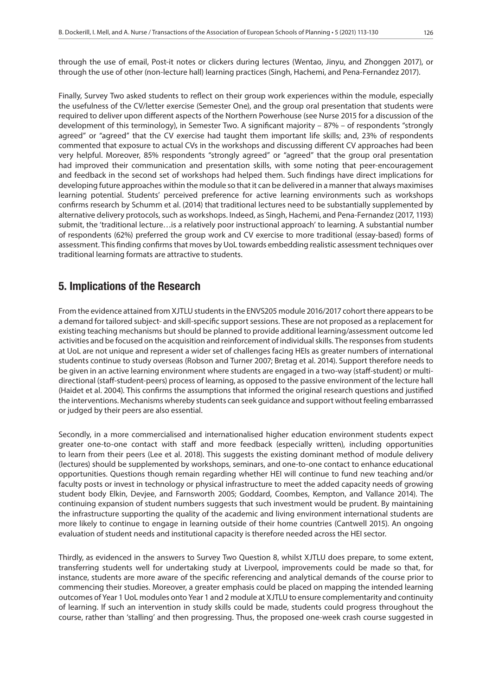through the use of email, Post-it notes or clickers during lectures (Wentao, Jinyu, and Zhonggen 2017), or through the use of other (non-lecture hall) learning practices (Singh, Hachemi, and Pena-Fernandez 2017).

Finally, Survey Two asked students to reflect on their group work experiences within the module, especially the usefulness of the CV/letter exercise (Semester One), and the group oral presentation that students were required to deliver upon different aspects of the Northern Powerhouse (see Nurse 2015 for a discussion of the development of this terminology), in Semester Two. A significant majority – 87% – of respondents "strongly agreed" or "agreed" that the CV exercise had taught them important life skills; and, 23% of respondents commented that exposure to actual CVs in the workshops and discussing different CV approaches had been very helpful. Moreover, 85% respondents "strongly agreed" or "agreed" that the group oral presentation had improved their communication and presentation skills, with some noting that peer-encouragement and feedback in the second set of workshops had helped them. Such findings have direct implications for developing future approaches within the module so that it can be delivered in a manner that always maximises learning potential. Students' perceived preference for active learning environments such as workshops confirms research by Schumm et al. (2014) that traditional lectures need to be substantially supplemented by alternative delivery protocols, such as workshops. Indeed, as Singh, Hachemi, and Pena-Fernandez (2017, 1193) submit, the 'traditional lecture…is a relatively poor instructional approach' to learning. A substantial number of respondents (62%) preferred the group work and CV exercise to more traditional (essay-based) forms of assessment. This finding confirms that moves by UoL towards embedding realistic assessment techniques over traditional learning formats are attractive to students.

## 5. Implications of the Research

From the evidence attained from XJTLU students in the ENVS205 module 2016/2017 cohort there appears to be a demand for tailored subject- and skill-specific support sessions. These are not proposed as a replacement for existing teaching mechanisms but should be planned to provide additional learning/assessment outcome led activities and be focused on the acquisition and reinforcement of individual skills. The responses from students at UoL are not unique and represent a wider set of challenges facing HEIs as greater numbers of international students continue to study overseas (Robson and Turner 2007; Bretag et al. 2014). Support therefore needs to be given in an active learning environment where students are engaged in a two-way (staff-student) or multidirectional (staff-student-peers) process of learning, as opposed to the passive environment of the lecture hall (Haidet et al. 2004). This confirms the assumptions that informed the original research questions and justified the interventions. Mechanisms whereby students can seek guidance and support without feeling embarrassed or judged by their peers are also essential.

Secondly, in a more commercialised and internationalised higher education environment students expect greater one-to-one contact with staff and more feedback (especially written), including opportunities to learn from their peers (Lee et al. 2018). This suggests the existing dominant method of module delivery (lectures) should be supplemented by workshops, seminars, and one-to-one contact to enhance educational opportunities. Questions though remain regarding whether HEI will continue to fund new teaching and/or faculty posts or invest in technology or physical infrastructure to meet the added capacity needs of growing student body Elkin, Devjee, and Farnsworth 2005; Goddard, Coombes, Kempton, and Vallance 2014). The continuing expansion of student numbers suggests that such investment would be prudent. By maintaining the infrastructure supporting the quality of the academic and living environment international students are more likely to continue to engage in learning outside of their home countries (Cantwell 2015). An ongoing evaluation of student needs and institutional capacity is therefore needed across the HEI sector.

Thirdly, as evidenced in the answers to Survey Two Question 8, whilst XJTLU does prepare, to some extent, transferring students well for undertaking study at Liverpool, improvements could be made so that, for instance, students are more aware of the specific referencing and analytical demands of the course prior to commencing their studies. Moreover, a greater emphasis could be placed on mapping the intended learning outcomes of Year 1 UoL modules onto Year 1 and 2 module at XJTLU to ensure complementarity and continuity of learning. If such an intervention in study skills could be made, students could progress throughout the course, rather than 'stalling' and then progressing. Thus, the proposed one-week crash course suggested in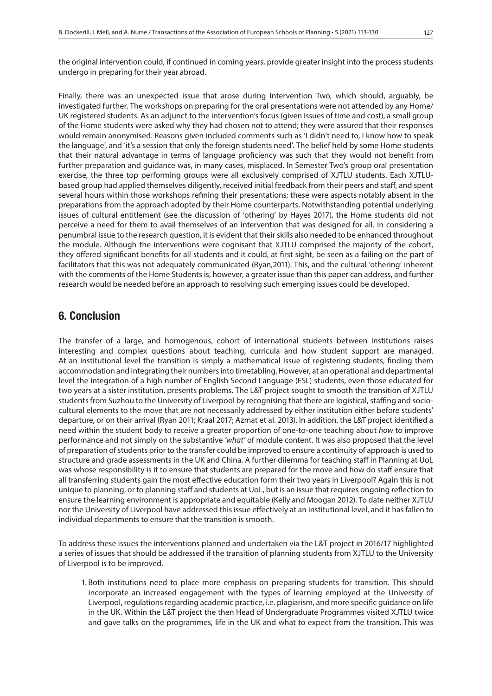the original intervention could, if continued in coming years, provide greater insight into the process students undergo in preparing for their year abroad.

Finally, there was an unexpected issue that arose during Intervention Two, which should, arguably, be investigated further. The workshops on preparing for the oral presentations were not attended by any Home/ UK registered students. As an adjunct to the intervention's focus (given issues of time and cost), a small group of the Home students were asked why they had chosen not to attend; they were assured that their responses would remain anonymised. Reasons given included comments such as 'I didn't need to, I know how to speak the language', and 'it's a session that only the foreign students need'. The belief held by some Home students that their natural advantage in terms of language proficiency was such that they would not benefit from further preparation and guidance was, in many cases, misplaced. In Semester Two's group oral presentation exercise, the three top performing groups were all exclusively comprised of XJTLU students. Each XJTLUbased group had applied themselves diligently, received initial feedback from their peers and staff, and spent several hours within those workshops refining their presentations; these were aspects notably absent in the preparations from the approach adopted by their Home counterparts. Notwithstanding potential underlying issues of cultural entitlement (see the discussion of 'othering' by Hayes 2017), the Home students did not perceive a need for them to avail themselves of an intervention that was designed for all. In considering a penumbral issue to the research question, it is evident that their skills also needed to be enhanced throughout the module. Although the interventions were cognisant that XJTLU comprised the majority of the cohort, they offered significant benefits for all students and it could, at first sight, be seen as a failing on the part of facilitators that this was not adequately communicated (Ryan,2011). This, and the cultural 'othering' inherent with the comments of the Home Students is, however, a greater issue than this paper can address, and further research would be needed before an approach to resolving such emerging issues could be developed.

## 6. Conclusion

The transfer of a large, and homogenous, cohort of international students between institutions raises interesting and complex questions about teaching, curricula and how student support are managed. At an institutional level the transition is simply a mathematical issue of registering students, finding them accommodation and integrating their numbers into timetabling. However, at an operational and departmental level the integration of a high number of English Second Language (ESL) students, even those educated for two years at a sister institution, presents problems. The L&T project sought to smooth the transition of XJTLU students from Suzhou to the University of Liverpool by recognising that there are logistical, staffing and sociocultural elements to the move that are not necessarily addressed by either institution either before students' departure, or on their arrival (Ryan 2011; Kraal 2017; Azmat et al. 2013). In addition, the L&T project identified a need within the student body to receive a greater proportion of one-to-one teaching about *how* to improve performance and not simply on the substantive *'what'* of module content. It was also proposed that the level of preparation of students prior to the transfer could be improved to ensure a continuity of approach is used to structure and grade assessments in the UK and China. A further dilemma for teaching staff in Planning at UoL was whose responsibility is it to ensure that students are prepared for the move and how do staff ensure that all transferring students gain the most effective education form their two years in Liverpool? Again this is not unique to planning, or to planning staff and students at UoL, but is an issue that requires ongoing reflection to ensure the learning environment is appropriate and equitable (Kelly and Moogan 2012). To date neither XJTLU nor the University of Liverpool have addressed this issue effectively at an institutional level, and it has fallen to individual departments to ensure that the transition is smooth.

To address these issues the interventions planned and undertaken via the L&T project in 2016/17 highlighted a series of issues that should be addressed if the transition of planning students from XJTLU to the University of Liverpool is to be improved.

1. Both institutions need to place more emphasis on preparing students for transition. This should incorporate an increased engagement with the types of learning employed at the University of Liverpool, regulations regarding academic practice, i.e. plagiarism, and more specific guidance on life in the UK. Within the L&T project the then Head of Undergraduate Programmes visited XJTLU twice and gave talks on the programmes, life in the UK and what to expect from the transition. This was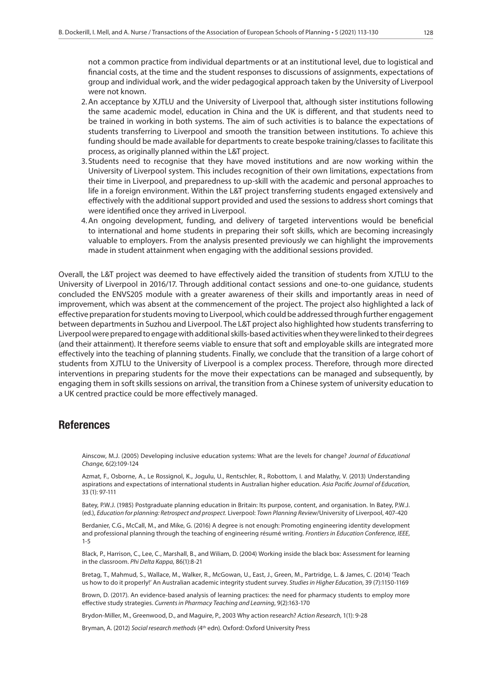not a common practice from individual departments or at an institutional level, due to logistical and financial costs, at the time and the student responses to discussions of assignments, expectations of group and individual work, and the wider pedagogical approach taken by the University of Liverpool were not known.

- 2.An acceptance by XJTLU and the University of Liverpool that, although sister institutions following the same academic model, education in China and the UK is different, and that students need to be trained in working in both systems. The aim of such activities is to balance the expectations of students transferring to Liverpool and smooth the transition between institutions. To achieve this funding should be made available for departments to create bespoke training/classes to facilitate this process, as originally planned within the L&T project.
- 3. Students need to recognise that they have moved institutions and are now working within the University of Liverpool system. This includes recognition of their own limitations, expectations from their time in Liverpool, and preparedness to up-skill with the academic and personal approaches to life in a foreign environment. Within the L&T project transferring students engaged extensively and effectively with the additional support provided and used the sessions to address short comings that were identified once they arrived in Liverpool.
- 4.An ongoing development, funding, and delivery of targeted interventions would be beneficial to international and home students in preparing their soft skills, which are becoming increasingly valuable to employers. From the analysis presented previously we can highlight the improvements made in student attainment when engaging with the additional sessions provided.

Overall, the L&T project was deemed to have effectively aided the transition of students from XJTLU to the University of Liverpool in 2016/17. Through additional contact sessions and one-to-one guidance, students concluded the ENVS205 module with a greater awareness of their skills and importantly areas in need of improvement, which was absent at the commencement of the project. The project also highlighted a lack of effective preparation for students moving to Liverpool, which could be addressed through further engagement between departments in Suzhou and Liverpool. The L&T project also highlighted how students transferring to Liverpool were prepared to engage with additional skills-based activities when they were linked to their degrees (and their attainment). It therefore seems viable to ensure that soft and employable skills are integrated more effectively into the teaching of planning students. Finally, we conclude that the transition of a large cohort of students from XJTLU to the University of Liverpool is a complex process. Therefore, through more directed interventions in preparing students for the move their expectations can be managed and subsequently, by engaging them in soft skills sessions on arrival, the transition from a Chinese system of university education to a UK centred practice could be more effectively managed.

## **References**

Ainscow, M.J. (2005) Developing inclusive education systems: What are the levels for change? *Journal of Educational Change,* 6(2):109-124

Azmat, F., Osborne, A., Le Rossignol, K., Jogulu, U., Rentschler, R., Robottom, I. and Malathy, V. (2013) Understanding aspirations and expectations of international students in Australian higher education. *Asia Pacific Journal of Education*, 33 (1): 97-111

Batey, P.W.J. (1985) Postgraduate planning education in Britain: Its purpose, content, and organisation. In Batey, P.W.J. (ed.), *Education for planning: Retrospect and prospect.* Liverpool: *Town Planning Review*/University of Liverpool, 407-420

Berdanier, C.G., McCall, M., and Mike, G. (2016) A degree is not enough: Promoting engineering identity development and professional planning through the teaching of engineering résumé writing. *Frontiers in Education Conference, IEEE*, 1-5

Black, P., Harrison, C., Lee, C., Marshall, B., and Wiliam, D. (2004) Working inside the black box: Assessment for learning in the classroom. *Phi Delta Kappa,* 86(1):8-21

Bretag, T., Mahmud, S., Wallace, M., Walker, R., McGowan, U., East, J., Green, M., Partridge, L. & James, C. (2014) 'Teach us how to do it properly!' An Australian academic integrity student survey. *Studies in Higher Education*, 39 (7):1150-1169

Brown, D. (2017). An evidence-based analysis of learning practices: the need for pharmacy students to employ more effective study strategies. *Currents in Pharmacy Teaching and Learning*, 9(2):163-170

Brydon-Miller, M., Greenwood, D., and Maguire, P., 2003 Why action research? *Action Research*, 1(1): 9-28

Bryman, A. (2012) *Social research methods* (4th edn). Oxford: Oxford University Press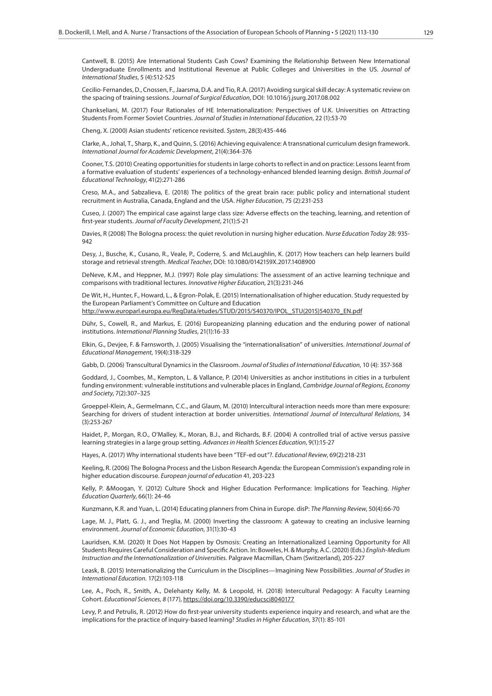Cantwell, B. (2015) Are International Students Cash Cows? Examining the Relationship Between New International Undergraduate Enrollments and Institutional Revenue at Public Colleges and Universities in the US. *Journal of International Studies*, 5 (4):512-525

Cecilio-Fernandes, D., Cnossen, F., Jaarsma, D.A. and Tio, R.A. (2017) Avoiding surgical skill decay: A systematic review on the spacing of training sessions. *Journal of Surgical Education*, DOI: 10.1016/j.jsurg.2017.08.002

Chankseliani, M. (2017) Four Rationales of HE Internationalization: Perspectives of U.K. Universities on Attracting Students From Former Soviet Countries. *Journal of Studies in International Education*, 22 (1):53-70

Cheng, X. (2000) Asian students' reticence revisited. *System*, 28(3):435-446

Clarke, A., Johal, T., Sharp, K., and Quinn, S. (2016) Achieving equivalence: A transnational curriculum design framework. *International Journal for Academic Development*, 21(4):364-376

Cooner, T.S. (2010) Creating opportunities for students in large cohorts to reflect in and on practice: Lessons learnt from a formative evaluation of students' experiences of a technology-enhanced blended learning design. *British Journal of Educational Technology*, 41(2):271-286

Creso, M.A., and Sabzalieva, E. (2018) The politics of the great brain race: public policy and international student recruitment in Australia, Canada, England and the USA. *Higher Education*, 75 (2):231-253

Cuseo, J. (2007) The empirical case against large class size: Adverse effects on the teaching, learning, and retention of first-year students. *Journal of Faculty Development*, 21(1):5-21

Davies, R (2008) The Bologna process: the quiet revolution in nursing higher education. *Nurse Education Today* 28: 935- 942

Desy, J., Busche, K., Cusano, R., Veale, P., Coderre, S. and McLaughlin, K. (2017) How teachers can help learners build storage and retrieval strength. *Medical Teacher*, DOI: 10.1080/0142159X.2017.1408900

DeNeve, K.M., and Heppner, M.J. (1997) Role play simulations: The assessment of an active learning technique and comparisons with traditional lectures. *Innovative Higher Education*, 21(3):231-246

De Wit, H., Hunter, F., Howard, L., & Egron-Polak, E. (2015) Internationalisation of higher education. Study requested by the European Parliament's Committee on Culture and Education

http://www.europarl.europa.eu/RegData/etudes/STUD/2015/540370/IPOL\_STU(2015)540370\_EN.pdf

Dühr, S., Cowell, R., and Markus, E. (2016) Europeanizing planning education and the enduring power of national institutions. *International Planning Studies*, 21(1):16-33

Elkin, G., Devjee, F. & Farnsworth, J. (2005) Visualising the "internationalisation" of universities. *International Journal of Educational Management*, 19(4):318-329

Gabb, D. (2006) Transcultural Dynamics in the Classroom. *Journal of Studies of International Education*, 10 (4): 357-368

Goddard, J., Coombes, M., Kempton, L. & Vallance, P. (2014) Universities as anchor institutions in cities in a turbulent funding environment: vulnerable institutions and vulnerable places in England, *Cambridge Journal of Regions, Economy and Society*, 7(2):307–325

Groeppel-Klein, A., Germelmann, C.C., and Glaum, M. (2010) Intercultural interaction needs more than mere exposure: Searching for drivers of student interaction at border universities. *International Journal of Intercultural Relations*, 34 (3):253-267

Haidet, P., Morgan, R.O., O'Malley, K., Moran, B.J., and Richards, B.F. (2004) A controlled trial of active versus passive learning strategies in a large group setting. *Advances in Health Sciences Education*, 9(1):15-27

Hayes, A. (2017) Why international students have been "TEF-ed out"?. *Educational Review*, 69(2):218-231

Keeling, R. (2006) The Bologna Process and the Lisbon Research Agenda: the European Commission's expanding role in higher education discourse. *European journal of education* 41, 203-223

Kelly, P. &Moogan, Y. (2012) Culture Shock and Higher Education Performance: Implications for Teaching. *Higher Education Quarterly*, 66(1): 24-46

Kunzmann, K.R. and Yuan, L. (2014) Educating planners from China in Europe. disP: *The Planning Review*, 50(4):66-70

Lage, M. J., Platt, G. J., and Treglia, M. (2000) Inverting the classroom: A gateway to creating an inclusive learning environment. *Journal of Economic Education*, 31(1):30-43

Lauridsen, K.M. (2020) It Does Not Happen by Osmosis: Creating an Internationalized Learning Opportunity for All Students Requires Careful Consideration and Specific Action. In: Boweles, H. & Murphy, A.C. (2020) (Eds.) *English-Medium Instruction and the Internationalization of Universities.* Palgrave Macmillan, Cham (Switzerland), 205-227

Leask, B. (2015) Internationalizing the Curriculum in the Disciplines—Imagining New Possibilities. *Journal of Studies in International Education.* 17(2):103-118

Lee, A., Poch, R., Smith, A., Delehanty Kelly, M. & Leopold, H. (2018) Intercultural Pedagogy: A Faculty Learning Cohort. *Educational Sciences, 8* (177), https://doi.org/10.3390/educsci8040177

Levy, P. and Petrulis, R. (2012) How do first-year university students experience inquiry and research, and what are the implications for the practice of inquiry-based learning? *Studies in Higher Education*, 37(1): 85-101